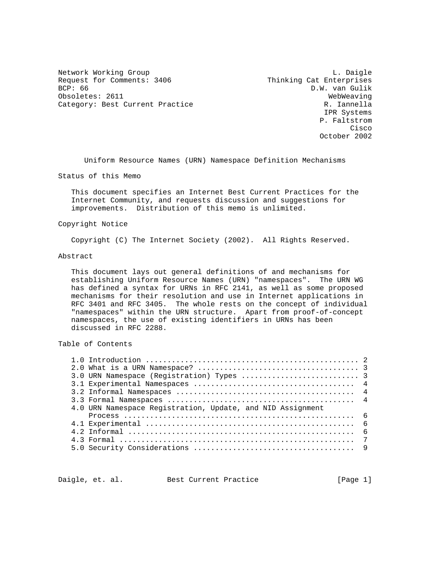Network Working Group and the contract of the contract of the contract of the contract of the contract of the contract of the contract of the contract of the contract of the contract of the contract of the contract of the Request for Comments: 3406 Thinking Cat Enterprises<br>BCP: 66 D.W. van Gulik Obsoletes: 2611 WebWeaving Category: Best Current Practice and Category: Best Current Practice R. Iannella

D.W. van Gulik IPR Systems P. Faltstrom **Cisco de la contrata de la contrata de la contrata de la contrata de la contrata de la contrata de la contrat** October 2002

Uniform Resource Names (URN) Namespace Definition Mechanisms

Status of this Memo

 This document specifies an Internet Best Current Practices for the Internet Community, and requests discussion and suggestions for improvements. Distribution of this memo is unlimited.

# Copyright Notice

Copyright (C) The Internet Society (2002). All Rights Reserved.

### Abstract

 This document lays out general definitions of and mechanisms for establishing Uniform Resource Names (URN) "namespaces". The URN WG has defined a syntax for URNs in RFC 2141, as well as some proposed mechanisms for their resolution and use in Internet applications in RFC 3401 and RFC 3405. The whole rests on the concept of individual "namespaces" within the URN structure. Apart from proof-of-concept namespaces, the use of existing identifiers in URNs has been discussed in RFC 2288.

# Table of Contents

|  | 4.0 URN Namespace Registration, Update, and NID Assignment |  |  |
|--|------------------------------------------------------------|--|--|
|  |                                                            |  |  |
|  |                                                            |  |  |
|  |                                                            |  |  |
|  |                                                            |  |  |
|  |                                                            |  |  |
|  |                                                            |  |  |

Daigle, et. al. Best Current Practice [Page 1]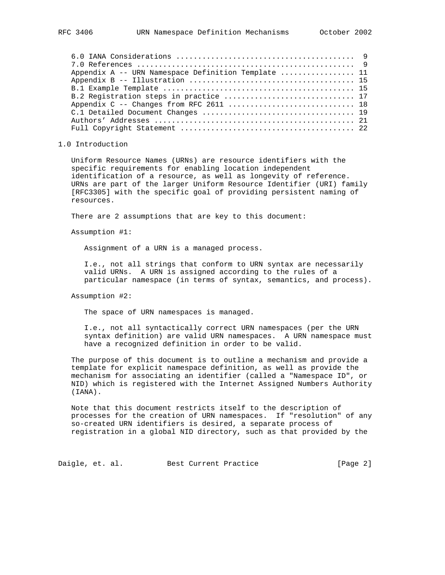| Appendix A -- URN Namespace Definition Template  11 |  |
|-----------------------------------------------------|--|
|                                                     |  |
|                                                     |  |
|                                                     |  |
|                                                     |  |
|                                                     |  |
|                                                     |  |
|                                                     |  |

## 1.0 Introduction

 Uniform Resource Names (URNs) are resource identifiers with the specific requirements for enabling location independent identification of a resource, as well as longevity of reference. URNs are part of the larger Uniform Resource Identifier (URI) family [RFC3305] with the specific goal of providing persistent naming of resources.

There are 2 assumptions that are key to this document:

Assumption #1:

Assignment of a URN is a managed process.

 I.e., not all strings that conform to URN syntax are necessarily valid URNs. A URN is assigned according to the rules of a particular namespace (in terms of syntax, semantics, and process).

# Assumption #2:

The space of URN namespaces is managed.

 I.e., not all syntactically correct URN namespaces (per the URN syntax definition) are valid URN namespaces. A URN namespace must have a recognized definition in order to be valid.

 The purpose of this document is to outline a mechanism and provide a template for explicit namespace definition, as well as provide the mechanism for associating an identifier (called a "Namespace ID", or NID) which is registered with the Internet Assigned Numbers Authority (IANA).

 Note that this document restricts itself to the description of processes for the creation of URN namespaces. If "resolution" of any so-created URN identifiers is desired, a separate process of registration in a global NID directory, such as that provided by the

Daigle, et. al. Best Current Practice [Page 2]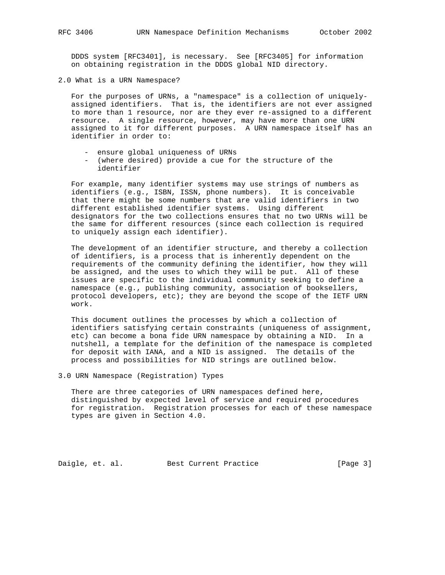DDDS system [RFC3401], is necessary. See [RFC3405] for information on obtaining registration in the DDDS global NID directory.

2.0 What is a URN Namespace?

 For the purposes of URNs, a "namespace" is a collection of uniquely assigned identifiers. That is, the identifiers are not ever assigned to more than 1 resource, nor are they ever re-assigned to a different resource. A single resource, however, may have more than one URN assigned to it for different purposes. A URN namespace itself has an identifier in order to:

- ensure global uniqueness of URNs
- (where desired) provide a cue for the structure of the identifier

 For example, many identifier systems may use strings of numbers as identifiers (e.g., ISBN, ISSN, phone numbers). It is conceivable that there might be some numbers that are valid identifiers in two different established identifier systems. Using different designators for the two collections ensures that no two URNs will be the same for different resources (since each collection is required to uniquely assign each identifier).

 The development of an identifier structure, and thereby a collection of identifiers, is a process that is inherently dependent on the requirements of the community defining the identifier, how they will be assigned, and the uses to which they will be put. All of these issues are specific to the individual community seeking to define a namespace (e.g., publishing community, association of booksellers, protocol developers, etc); they are beyond the scope of the IETF URN work.

 This document outlines the processes by which a collection of identifiers satisfying certain constraints (uniqueness of assignment, etc) can become a bona fide URN namespace by obtaining a NID. In a nutshell, a template for the definition of the namespace is completed for deposit with IANA, and a NID is assigned. The details of the process and possibilities for NID strings are outlined below.

3.0 URN Namespace (Registration) Types

 There are three categories of URN namespaces defined here, distinguished by expected level of service and required procedures for registration. Registration processes for each of these namespace types are given in Section 4.0.

Daigle, et. al. Best Current Practice [Page 3]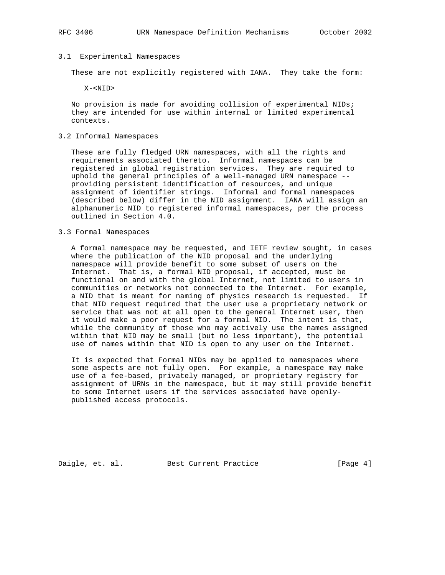### 3.1 Experimental Namespaces

These are not explicitly registered with IANA. They take the form:

X-<NID>

 No provision is made for avoiding collision of experimental NIDs; they are intended for use within internal or limited experimental contexts.

# 3.2 Informal Namespaces

 These are fully fledged URN namespaces, with all the rights and requirements associated thereto. Informal namespaces can be registered in global registration services. They are required to uphold the general principles of a well-managed URN namespace - providing persistent identification of resources, and unique assignment of identifier strings. Informal and formal namespaces (described below) differ in the NID assignment. IANA will assign an alphanumeric NID to registered informal namespaces, per the process outlined in Section 4.0.

# 3.3 Formal Namespaces

 A formal namespace may be requested, and IETF review sought, in cases where the publication of the NID proposal and the underlying namespace will provide benefit to some subset of users on the Internet. That is, a formal NID proposal, if accepted, must be functional on and with the global Internet, not limited to users in communities or networks not connected to the Internet. For example, a NID that is meant for naming of physics research is requested. If that NID request required that the user use a proprietary network or service that was not at all open to the general Internet user, then it would make a poor request for a formal NID. The intent is that, while the community of those who may actively use the names assigned within that NID may be small (but no less important), the potential use of names within that NID is open to any user on the Internet.

 It is expected that Formal NIDs may be applied to namespaces where some aspects are not fully open. For example, a namespace may make use of a fee-based, privately managed, or proprietary registry for assignment of URNs in the namespace, but it may still provide benefit to some Internet users if the services associated have openly published access protocols.

Daigle, et. al. Best Current Practice [Page 4]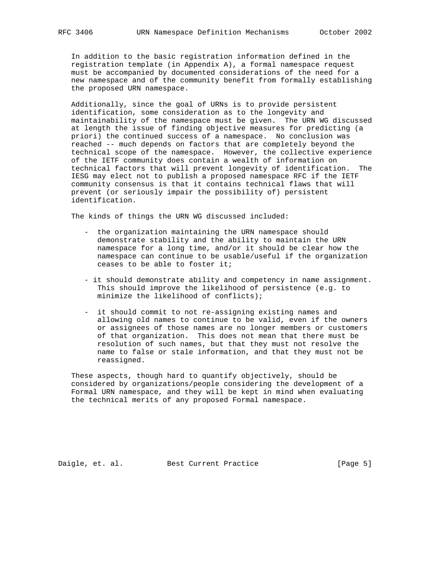In addition to the basic registration information defined in the registration template (in Appendix A), a formal namespace request must be accompanied by documented considerations of the need for a new namespace and of the community benefit from formally establishing the proposed URN namespace.

 Additionally, since the goal of URNs is to provide persistent identification, some consideration as to the longevity and maintainability of the namespace must be given. The URN WG discussed at length the issue of finding objective measures for predicting (a priori) the continued success of a namespace. No conclusion was reached -- much depends on factors that are completely beyond the technical scope of the namespace. However, the collective experience of the IETF community does contain a wealth of information on technical factors that will prevent longevity of identification. The IESG may elect not to publish a proposed namespace RFC if the IETF community consensus is that it contains technical flaws that will prevent (or seriously impair the possibility of) persistent identification.

The kinds of things the URN WG discussed included:

- the organization maintaining the URN namespace should demonstrate stability and the ability to maintain the URN namespace for a long time, and/or it should be clear how the namespace can continue to be usable/useful if the organization ceases to be able to foster it;
- it should demonstrate ability and competency in name assignment. This should improve the likelihood of persistence (e.g. to minimize the likelihood of conflicts);
- it should commit to not re-assigning existing names and allowing old names to continue to be valid, even if the owners or assignees of those names are no longer members or customers of that organization. This does not mean that there must be resolution of such names, but that they must not resolve the name to false or stale information, and that they must not be reassigned.

 These aspects, though hard to quantify objectively, should be considered by organizations/people considering the development of a Formal URN namespace, and they will be kept in mind when evaluating the technical merits of any proposed Formal namespace.

Daigle, et. al. Best Current Practice [Page 5]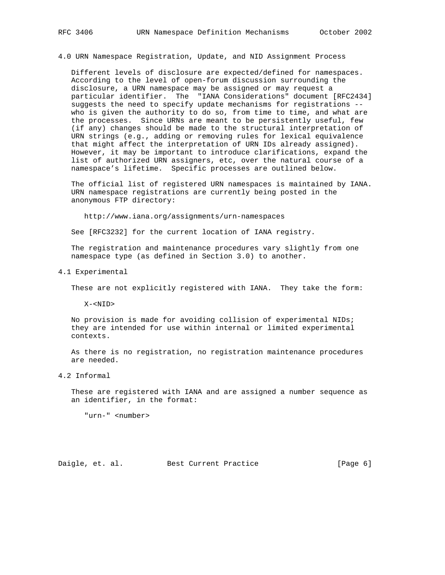4.0 URN Namespace Registration, Update, and NID Assignment Process

 Different levels of disclosure are expected/defined for namespaces. According to the level of open-forum discussion surrounding the disclosure, a URN namespace may be assigned or may request a particular identifier. The "IANA Considerations" document [RFC2434] suggests the need to specify update mechanisms for registrations - who is given the authority to do so, from time to time, and what are the processes. Since URNs are meant to be persistently useful, few (if any) changes should be made to the structural interpretation of URN strings (e.g., adding or removing rules for lexical equivalence that might affect the interpretation of URN IDs already assigned). However, it may be important to introduce clarifications, expand the list of authorized URN assigners, etc, over the natural course of a namespace's lifetime. Specific processes are outlined below.

 The official list of registered URN namespaces is maintained by IANA. URN namespace registrations are currently being posted in the anonymous FTP directory:

http://www.iana.org/assignments/urn-namespaces

See [RFC3232] for the current location of IANA registry.

 The registration and maintenance procedures vary slightly from one namespace type (as defined in Section 3.0) to another.

4.1 Experimental

These are not explicitly registered with IANA. They take the form:

X-<NID>

 No provision is made for avoiding collision of experimental NIDs; they are intended for use within internal or limited experimental contexts.

 As there is no registration, no registration maintenance procedures are needed.

4.2 Informal

 These are registered with IANA and are assigned a number sequence as an identifier, in the format:

"urn-" <number>

Daigle, et. al. Best Current Practice [Page 6]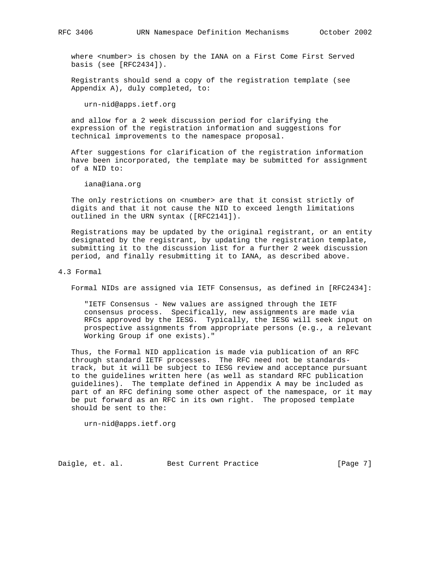where <number> is chosen by the IANA on a First Come First Served basis (see [RFC2434]).

 Registrants should send a copy of the registration template (see Appendix A), duly completed, to:

urn-nid@apps.ietf.org

 and allow for a 2 week discussion period for clarifying the expression of the registration information and suggestions for technical improvements to the namespace proposal.

 After suggestions for clarification of the registration information have been incorporated, the template may be submitted for assignment of a NID to:

iana@iana.org

The only restrictions on <number> are that it consist strictly of digits and that it not cause the NID to exceed length limitations outlined in the URN syntax ([RFC2141]).

 Registrations may be updated by the original registrant, or an entity designated by the registrant, by updating the registration template, submitting it to the discussion list for a further 2 week discussion period, and finally resubmitting it to IANA, as described above.

4.3 Formal

Formal NIDs are assigned via IETF Consensus, as defined in [RFC2434]:

 "IETF Consensus - New values are assigned through the IETF consensus process. Specifically, new assignments are made via RFCs approved by the IESG. Typically, the IESG will seek input on prospective assignments from appropriate persons (e.g., a relevant Working Group if one exists)."

 Thus, the Formal NID application is made via publication of an RFC through standard IETF processes. The RFC need not be standards track, but it will be subject to IESG review and acceptance pursuant to the guidelines written here (as well as standard RFC publication guidelines). The template defined in Appendix A may be included as part of an RFC defining some other aspect of the namespace, or it may be put forward as an RFC in its own right. The proposed template should be sent to the:

urn-nid@apps.ietf.org

Daigle, et. al. Best Current Practice [Page 7]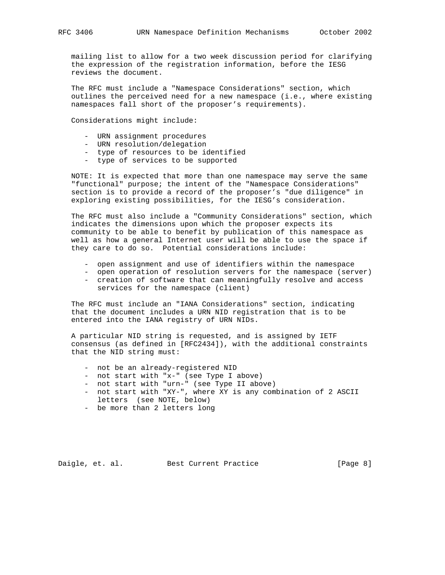mailing list to allow for a two week discussion period for clarifying the expression of the registration information, before the IESG reviews the document.

 The RFC must include a "Namespace Considerations" section, which outlines the perceived need for a new namespace (i.e., where existing namespaces fall short of the proposer's requirements).

Considerations might include:

- URN assignment procedures
- URN resolution/delegation
- type of resources to be identified
- type of services to be supported

 NOTE: It is expected that more than one namespace may serve the same "functional" purpose; the intent of the "Namespace Considerations" section is to provide a record of the proposer's "due diligence" in exploring existing possibilities, for the IESG's consideration.

 The RFC must also include a "Community Considerations" section, which indicates the dimensions upon which the proposer expects its community to be able to benefit by publication of this namespace as well as how a general Internet user will be able to use the space if they care to do so. Potential considerations include:

- open assignment and use of identifiers within the namespace
- open operation of resolution servers for the namespace (server) - creation of software that can meaningfully resolve and access
- services for the namespace (client)

 The RFC must include an "IANA Considerations" section, indicating that the document includes a URN NID registration that is to be entered into the IANA registry of URN NIDs.

 A particular NID string is requested, and is assigned by IETF consensus (as defined in [RFC2434]), with the additional constraints that the NID string must:

- not be an already-registered NID
- not start with "x-" (see Type I above)
- not start with "urn-" (see Type II above)
- not start with "XY-", where XY is any combination of 2 ASCII letters (see NOTE, below)
	- be more than 2 letters long

Daigle, et. al. Best Current Practice [Page 8]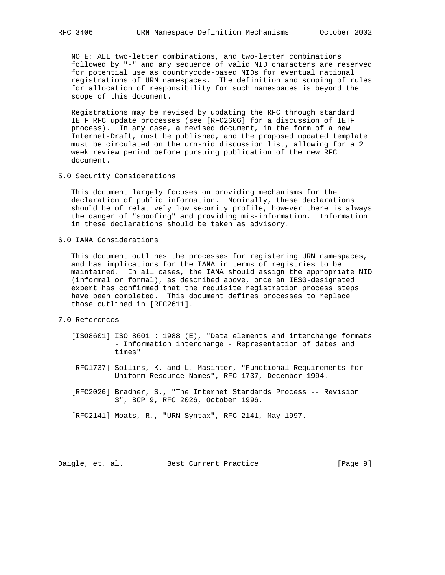NOTE: ALL two-letter combinations, and two-letter combinations followed by "-" and any sequence of valid NID characters are reserved for potential use as countrycode-based NIDs for eventual national registrations of URN namespaces. The definition and scoping of rules for allocation of responsibility for such namespaces is beyond the scope of this document.

 Registrations may be revised by updating the RFC through standard IETF RFC update processes (see [RFC2606] for a discussion of IETF process). In any case, a revised document, in the form of a new Internet-Draft, must be published, and the proposed updated template must be circulated on the urn-nid discussion list, allowing for a 2 week review period before pursuing publication of the new RFC document.

5.0 Security Considerations

 This document largely focuses on providing mechanisms for the declaration of public information. Nominally, these declarations should be of relatively low security profile, however there is always the danger of "spoofing" and providing mis-information. Information in these declarations should be taken as advisory.

6.0 IANA Considerations

 This document outlines the processes for registering URN namespaces, and has implications for the IANA in terms of registries to be maintained. In all cases, the IANA should assign the appropriate NID (informal or formal), as described above, once an IESG-designated expert has confirmed that the requisite registration process steps have been completed. This document defines processes to replace those outlined in [RFC2611].

# 7.0 References

- [ISO8601] ISO 8601 : 1988 (E), "Data elements and interchange formats - Information interchange - Representation of dates and times"
- [RFC1737] Sollins, K. and L. Masinter, "Functional Requirements for Uniform Resource Names", RFC 1737, December 1994.
- [RFC2026] Bradner, S., "The Internet Standards Process -- Revision 3", BCP 9, RFC 2026, October 1996.

[RFC2141] Moats, R., "URN Syntax", RFC 2141, May 1997.

Daigle, et. al. Best Current Practice [Page 9]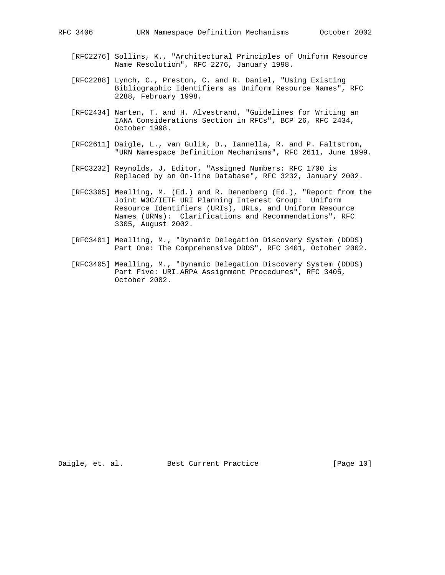- [RFC2276] Sollins, K., "Architectural Principles of Uniform Resource Name Resolution", RFC 2276, January 1998.
- [RFC2288] Lynch, C., Preston, C. and R. Daniel, "Using Existing Bibliographic Identifiers as Uniform Resource Names", RFC 2288, February 1998.
- [RFC2434] Narten, T. and H. Alvestrand, "Guidelines for Writing an IANA Considerations Section in RFCs", BCP 26, RFC 2434, October 1998.
- [RFC2611] Daigle, L., van Gulik, D., Iannella, R. and P. Faltstrom, "URN Namespace Definition Mechanisms", RFC 2611, June 1999.
- [RFC3232] Reynolds, J, Editor, "Assigned Numbers: RFC 1700 is Replaced by an On-line Database", RFC 3232, January 2002.
- [RFC3305] Mealling, M. (Ed.) and R. Denenberg (Ed.), "Report from the Joint W3C/IETF URI Planning Interest Group: Uniform Resource Identifiers (URIs), URLs, and Uniform Resource Names (URNs): Clarifications and Recommendations", RFC 3305, August 2002.
- [RFC3401] Mealling, M., "Dynamic Delegation Discovery System (DDDS) Part One: The Comprehensive DDDS", RFC 3401, October 2002.
- [RFC3405] Mealling, M., "Dynamic Delegation Discovery System (DDDS) Part Five: URI.ARPA Assignment Procedures", RFC 3405, October 2002.

Daigle, et. al. Best Current Practice [Page 10]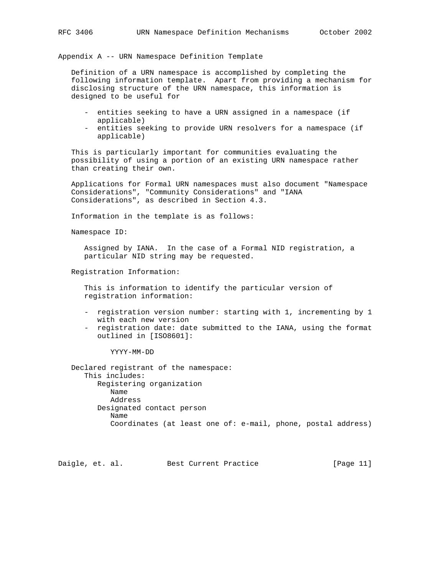Appendix A -- URN Namespace Definition Template

 Definition of a URN namespace is accomplished by completing the following information template. Apart from providing a mechanism for disclosing structure of the URN namespace, this information is designed to be useful for

- entities seeking to have a URN assigned in a namespace (if applicable)
- entities seeking to provide URN resolvers for a namespace (if applicable)

 This is particularly important for communities evaluating the possibility of using a portion of an existing URN namespace rather than creating their own.

 Applications for Formal URN namespaces must also document "Namespace Considerations", "Community Considerations" and "IANA Considerations", as described in Section 4.3.

Information in the template is as follows:

Namespace ID:

 Assigned by IANA. In the case of a Formal NID registration, a particular NID string may be requested.

Registration Information:

 This is information to identify the particular version of registration information:

- registration version number: starting with 1, incrementing by 1 with each new version
- registration date: date submitted to the IANA, using the format outlined in [ISO8601]:

YYYY-MM-DD

 Declared registrant of the namespace: This includes: Registering organization Name Address Designated contact person Name Coordinates (at least one of: e-mail, phone, postal address)

Daigle, et. al. Best Current Practice [Page 11]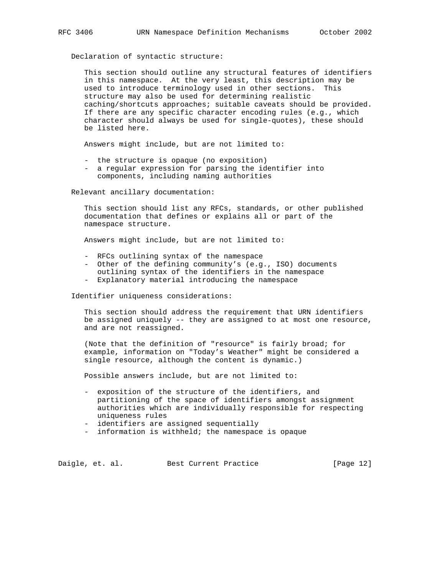Declaration of syntactic structure:

 This section should outline any structural features of identifiers in this namespace. At the very least, this description may be used to introduce terminology used in other sections. This structure may also be used for determining realistic caching/shortcuts approaches; suitable caveats should be provided. If there are any specific character encoding rules (e.g., which character should always be used for single-quotes), these should be listed here.

Answers might include, but are not limited to:

- the structure is opaque (no exposition)
- a regular expression for parsing the identifier into components, including naming authorities

Relevant ancillary documentation:

 This section should list any RFCs, standards, or other published documentation that defines or explains all or part of the namespace structure.

Answers might include, but are not limited to:

- RFCs outlining syntax of the namespace
- Other of the defining community's (e.g., ISO) documents outlining syntax of the identifiers in the namespace
- Explanatory material introducing the namespace

Identifier uniqueness considerations:

 This section should address the requirement that URN identifiers be assigned uniquely -- they are assigned to at most one resource, and are not reassigned.

 (Note that the definition of "resource" is fairly broad; for example, information on "Today's Weather" might be considered a single resource, although the content is dynamic.)

Possible answers include, but are not limited to:

- exposition of the structure of the identifiers, and partitioning of the space of identifiers amongst assignment authorities which are individually responsible for respecting uniqueness rules
- identifiers are assigned sequentially
- information is withheld; the namespace is opaque

Daigle, et. al. Best Current Practice [Page 12]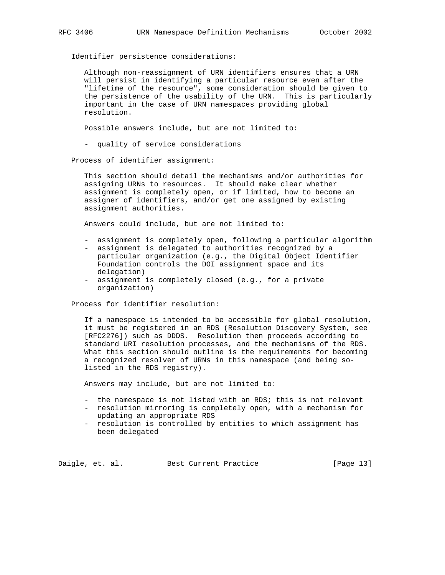Identifier persistence considerations:

 Although non-reassignment of URN identifiers ensures that a URN will persist in identifying a particular resource even after the "lifetime of the resource", some consideration should be given to the persistence of the usability of the URN. This is particularly important in the case of URN namespaces providing global resolution.

Possible answers include, but are not limited to:

- quality of service considerations

Process of identifier assignment:

 This section should detail the mechanisms and/or authorities for assigning URNs to resources. It should make clear whether assignment is completely open, or if limited, how to become an assigner of identifiers, and/or get one assigned by existing assignment authorities.

Answers could include, but are not limited to:

- assignment is completely open, following a particular algorithm
- assignment is delegated to authorities recognized by a particular organization (e.g., the Digital Object Identifier Foundation controls the DOI assignment space and its delegation)
- assignment is completely closed (e.g., for a private organization)

Process for identifier resolution:

 If a namespace is intended to be accessible for global resolution, it must be registered in an RDS (Resolution Discovery System, see [RFC2276]) such as DDDS. Resolution then proceeds according to standard URI resolution processes, and the mechanisms of the RDS. What this section should outline is the requirements for becoming a recognized resolver of URNs in this namespace (and being so listed in the RDS registry).

Answers may include, but are not limited to:

- the namespace is not listed with an RDS; this is not relevant
- resolution mirroring is completely open, with a mechanism for updating an appropriate RDS
- resolution is controlled by entities to which assignment has been delegated

Daigle, et. al. Best Current Practice [Page 13]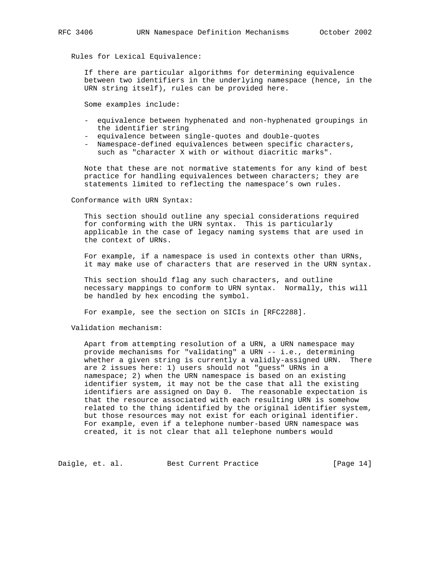Rules for Lexical Equivalence:

 If there are particular algorithms for determining equivalence between two identifiers in the underlying namespace (hence, in the URN string itself), rules can be provided here.

Some examples include:

- equivalence between hyphenated and non-hyphenated groupings in the identifier string
- equivalence between single-quotes and double-quotes
- Namespace-defined equivalences between specific characters, such as "character X with or without diacritic marks".

 Note that these are not normative statements for any kind of best practice for handling equivalences between characters; they are statements limited to reflecting the namespace's own rules.

#### Conformance with URN Syntax:

 This section should outline any special considerations required for conforming with the URN syntax. This is particularly applicable in the case of legacy naming systems that are used in the context of URNs.

 For example, if a namespace is used in contexts other than URNs, it may make use of characters that are reserved in the URN syntax.

 This section should flag any such characters, and outline necessary mappings to conform to URN syntax. Normally, this will be handled by hex encoding the symbol.

For example, see the section on SICIs in [RFC2288].

Validation mechanism:

 Apart from attempting resolution of a URN, a URN namespace may provide mechanisms for "validating" a URN -- i.e., determining whether a given string is currently a validly-assigned URN. There are 2 issues here: 1) users should not "guess" URNs in a namespace; 2) when the URN namespace is based on an existing identifier system, it may not be the case that all the existing identifiers are assigned on Day 0. The reasonable expectation is that the resource associated with each resulting URN is somehow related to the thing identified by the original identifier system, but those resources may not exist for each original identifier. For example, even if a telephone number-based URN namespace was created, it is not clear that all telephone numbers would

Daigle, et. al. Best Current Practice [Page 14]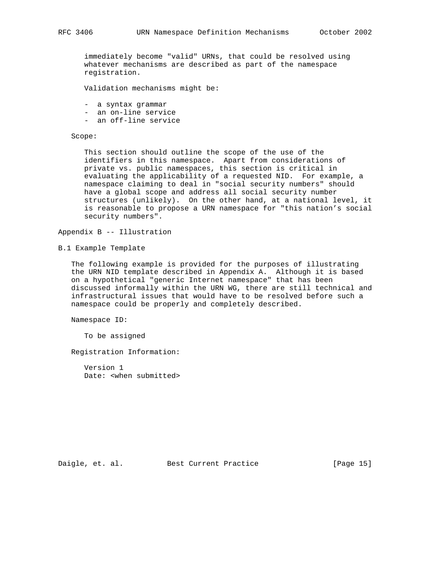immediately become "valid" URNs, that could be resolved using whatever mechanisms are described as part of the namespace registration.

Validation mechanisms might be:

- a syntax grammar
- an on-line service
- an off-line service

Scope:

 This section should outline the scope of the use of the identifiers in this namespace. Apart from considerations of private vs. public namespaces, this section is critical in evaluating the applicability of a requested NID. For example, a namespace claiming to deal in "social security numbers" should have a global scope and address all social security number structures (unlikely). On the other hand, at a national level, it is reasonable to propose a URN namespace for "this nation's social security numbers".

Appendix B -- Illustration

B.1 Example Template

 The following example is provided for the purposes of illustrating the URN NID template described in Appendix A. Although it is based on a hypothetical "generic Internet namespace" that has been discussed informally within the URN WG, there are still technical and infrastructural issues that would have to be resolved before such a namespace could be properly and completely described.

Namespace ID:

To be assigned

Registration Information:

 Version 1 Date: <when submitted>

Daigle, et. al. Best Current Practice [Page 15]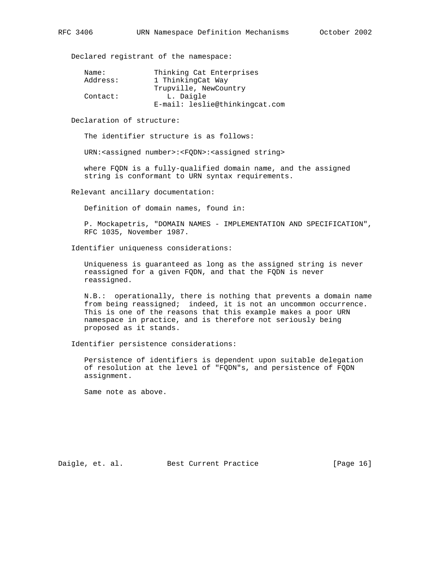Declared registrant of the namespace:

| Name:    | Thinking Cat Enterprises       |
|----------|--------------------------------|
| Address: | 1 ThinkingCat Way              |
|          | Trupville, NewCountry          |
| Contact: | L. Daigle                      |
|          | E-mail: leslie@thinkingcat.com |

Declaration of structure:

The identifier structure is as follows:

URN:<assigned number>:<FQDN>:<assigned string>

 where FQDN is a fully-qualified domain name, and the assigned string is conformant to URN syntax requirements.

Relevant ancillary documentation:

Definition of domain names, found in:

 P. Mockapetris, "DOMAIN NAMES - IMPLEMENTATION AND SPECIFICATION", RFC 1035, November 1987.

Identifier uniqueness considerations:

 Uniqueness is guaranteed as long as the assigned string is never reassigned for a given FQDN, and that the FQDN is never reassigned.

 N.B.: operationally, there is nothing that prevents a domain name from being reassigned; indeed, it is not an uncommon occurrence. This is one of the reasons that this example makes a poor URN namespace in practice, and is therefore not seriously being proposed as it stands.

Identifier persistence considerations:

 Persistence of identifiers is dependent upon suitable delegation of resolution at the level of "FQDN"s, and persistence of FQDN assignment.

Same note as above.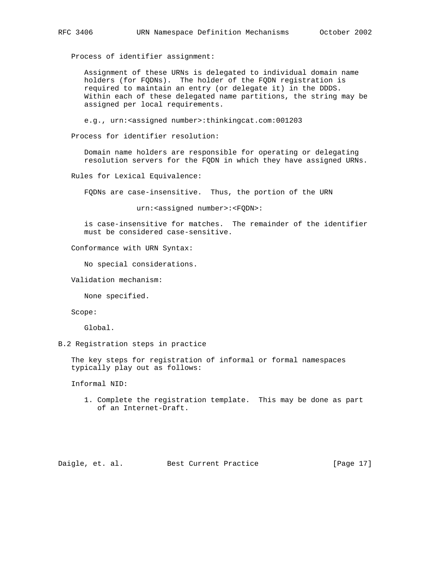Process of identifier assignment:

 Assignment of these URNs is delegated to individual domain name holders (for FQDNs). The holder of the FQDN registration is required to maintain an entry (or delegate it) in the DDDS. Within each of these delegated name partitions, the string may be assigned per local requirements.

e.g., urn:<assigned number>:thinkingcat.com:001203

Process for identifier resolution:

 Domain name holders are responsible for operating or delegating resolution servers for the FQDN in which they have assigned URNs.

Rules for Lexical Equivalence:

FQDNs are case-insensitive. Thus, the portion of the URN

urn:<assigned number>:<FQDN>:

 is case-insensitive for matches. The remainder of the identifier must be considered case-sensitive.

# Conformance with URN Syntax:

No special considerations.

Validation mechanism:

None specified.

Scope:

Global.

B.2 Registration steps in practice

 The key steps for registration of informal or formal namespaces typically play out as follows:

Informal NID:

 1. Complete the registration template. This may be done as part of an Internet-Draft.

Daigle, et. al. Best Current Practice [Page 17]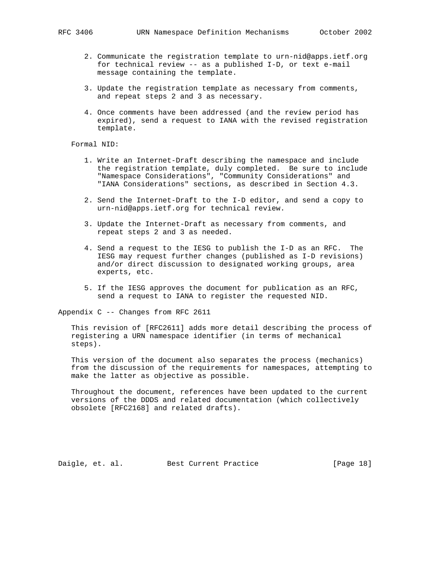- 2. Communicate the registration template to urn-nid@apps.ietf.org for technical review -- as a published I-D, or text e-mail message containing the template.
- 3. Update the registration template as necessary from comments, and repeat steps 2 and 3 as necessary.
- 4. Once comments have been addressed (and the review period has expired), send a request to IANA with the revised registration template.

Formal NID:

- 1. Write an Internet-Draft describing the namespace and include the registration template, duly completed. Be sure to include "Namespace Considerations", "Community Considerations" and "IANA Considerations" sections, as described in Section 4.3.
- 2. Send the Internet-Draft to the I-D editor, and send a copy to urn-nid@apps.ietf.org for technical review.
- 3. Update the Internet-Draft as necessary from comments, and repeat steps 2 and 3 as needed.
- 4. Send a request to the IESG to publish the I-D as an RFC. The IESG may request further changes (published as I-D revisions) and/or direct discussion to designated working groups, area experts, etc.
- 5. If the IESG approves the document for publication as an RFC, send a request to IANA to register the requested NID.

Appendix C -- Changes from RFC 2611

 This revision of [RFC2611] adds more detail describing the process of registering a URN namespace identifier (in terms of mechanical steps).

 This version of the document also separates the process (mechanics) from the discussion of the requirements for namespaces, attempting to make the latter as objective as possible.

 Throughout the document, references have been updated to the current versions of the DDDS and related documentation (which collectively obsolete [RFC2168] and related drafts).

Daigle, et. al. Best Current Practice [Page 18]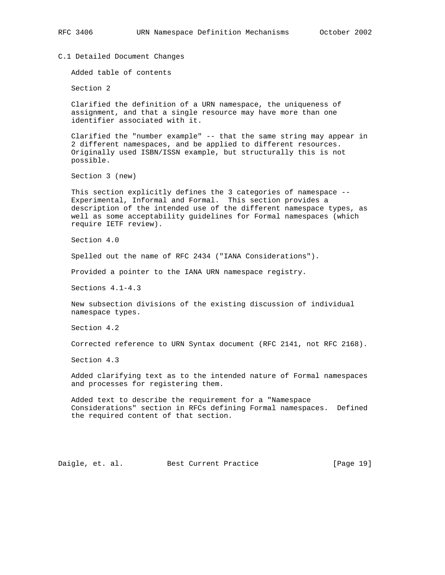C.1 Detailed Document Changes

Added table of contents

Section 2

 Clarified the definition of a URN namespace, the uniqueness of assignment, and that a single resource may have more than one identifier associated with it.

 Clarified the "number example" -- that the same string may appear in 2 different namespaces, and be applied to different resources. Originally used ISBN/ISSN example, but structurally this is not possible.

Section 3 (new)

 This section explicitly defines the 3 categories of namespace -- Experimental, Informal and Formal. This section provides a description of the intended use of the different namespace types, as well as some acceptability guidelines for Formal namespaces (which require IETF review).

Section 4.0

Spelled out the name of RFC 2434 ("IANA Considerations").

Provided a pointer to the IANA URN namespace registry.

Sections 4.1-4.3

 New subsection divisions of the existing discussion of individual namespace types.

Section 4.2

Corrected reference to URN Syntax document (RFC 2141, not RFC 2168).

Section 4.3

 Added clarifying text as to the intended nature of Formal namespaces and processes for registering them.

 Added text to describe the requirement for a "Namespace Considerations" section in RFCs defining Formal namespaces. Defined the required content of that section.

Daigle, et. al. Best Current Practice [Page 19]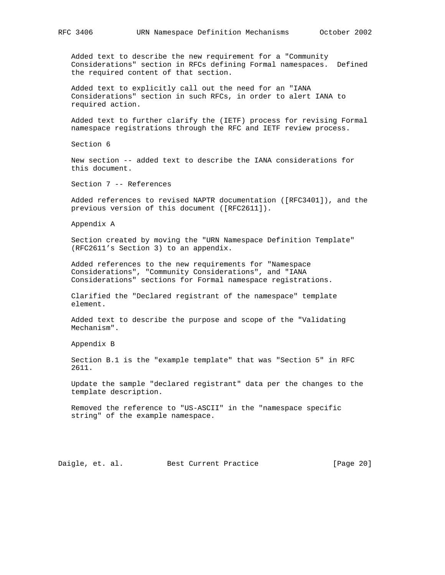Added text to describe the new requirement for a "Community Considerations" section in RFCs defining Formal namespaces. Defined the required content of that section.

 Added text to explicitly call out the need for an "IANA Considerations" section in such RFCs, in order to alert IANA to required action.

 Added text to further clarify the (IETF) process for revising Formal namespace registrations through the RFC and IETF review process.

Section 6

 New section -- added text to describe the IANA considerations for this document.

Section 7 -- References

 Added references to revised NAPTR documentation ([RFC3401]), and the previous version of this document ([RFC2611]).

Appendix A

 Section created by moving the "URN Namespace Definition Template" (RFC2611's Section 3) to an appendix.

 Added references to the new requirements for "Namespace Considerations", "Community Considerations", and "IANA Considerations" sections for Formal namespace registrations.

 Clarified the "Declared registrant of the namespace" template element.

 Added text to describe the purpose and scope of the "Validating Mechanism".

Appendix B

 Section B.1 is the "example template" that was "Section 5" in RFC 2611.

 Update the sample "declared registrant" data per the changes to the template description.

 Removed the reference to "US-ASCII" in the "namespace specific string" of the example namespace.

Daigle, et. al. Best Current Practice [Page 20]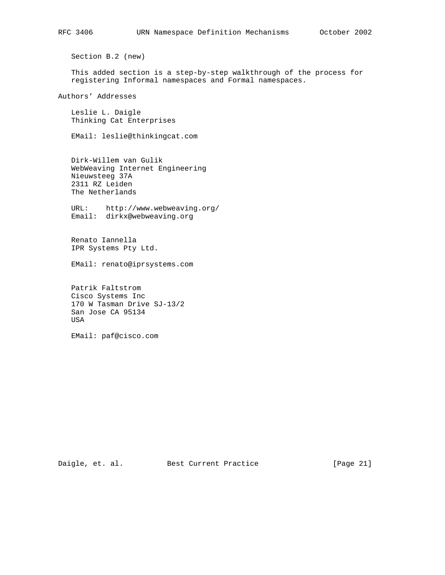Section B.2 (new)

 This added section is a step-by-step walkthrough of the process for registering Informal namespaces and Formal namespaces.

Authors' Addresses

 Leslie L. Daigle Thinking Cat Enterprises

EMail: leslie@thinkingcat.com

 Dirk-Willem van Gulik WebWeaving Internet Engineering Nieuwsteeg 37A 2311 RZ Leiden The Netherlands

 URL: http://www.webweaving.org/ Email: dirkx@webweaving.org

 Renato Iannella IPR Systems Pty Ltd.

EMail: renato@iprsystems.com

 Patrik Faltstrom Cisco Systems Inc 170 W Tasman Drive SJ-13/2 San Jose CA 95134 USA

EMail: paf@cisco.com

Daigle, et. al. Best Current Practice [Page 21]